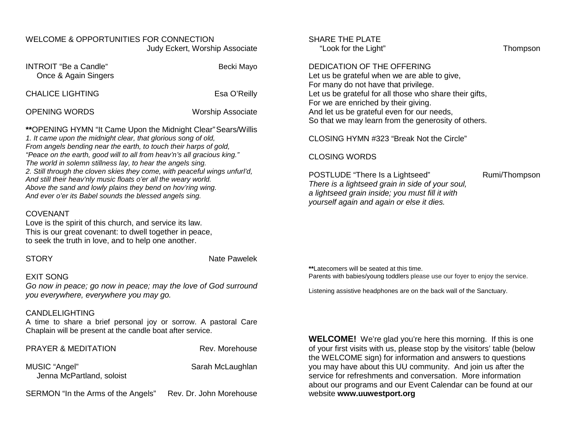### WELCOME & OPPORTUNITIES FOR CONNECTION Judy Eckert, Worship Associate

| <b>INTROIT</b> "Be a Candle"<br>Once & Again Singers | Becki Mayo               |
|------------------------------------------------------|--------------------------|
| <b>CHALICE LIGHTING</b>                              | Esa O'Reilly             |
| <b>OPENING WORDS</b>                                 | <b>Worship Associate</b> |

**\*\***OPENING HYMN "It Came Upon the Midnight Clear"Sears/Willis *1. It came upon the midnight clear, that glorious song of old, From angels bending near the earth, to touch their harps of gold, "Peace on the earth, good will to all from heav'n's all gracious king." The world in solemn stillness lay, to hear the angels sing. 2. Still through the cloven skies they come, with peaceful wings unfurl'd, And still their heav'nly music floats o'er all the weary world. Above the sand and lowly plains they bend on hov'ring wing. And ever o'er its Babel sounds the blessed angels sing.*

#### COVENANT

Love is the spirit of this church, and service its law. This is our great covenant: to dwell together in peace, to seek the truth in love, and to help one another.

STORY Nate Pawelek

### EXIT SONG

*Go now in peace; go now in peace; may the love of God surround you everywhere, everywhere you may go.*

## CANDLELIGHTING

A time to share a brief personal joy or sorrow. A pastoral Care Chaplain will be present at the candle boat after service.

| <b>PRAYER &amp; MEDITATION</b>             | Rev. Morehouse          |
|--------------------------------------------|-------------------------|
| MUSIC "Angel"<br>Jenna McPartland, soloist | Sarah McLaughlan        |
| SERMON "In the Arms of the Angels"         | Rev. Dr. John Morehouse |

## SHARF THE PI ATF

"Look for the Light" Thompson

### DEDICATION OF THE OFFERING

Let us be grateful when we are able to give, For many do not have that privilege. Let us be grateful for all those who share their gifts, For we are enriched by their giving. And let us be grateful even for our needs, So that we may learn from the generosity of others.

CLOSING HYMN #323 "Break Not the Circle"

### CLOSING WORDS

POSTLUDE "There Is a Lightseed" Rumi/Thompson *There is a lightseed grain in side of your soul, a lightseed grain inside; you must fill it with yourself again and again or else it dies.*

**\*\***Latecomers will be seated at this time. Parents with babies/young toddlers please use our foyer to enjoy the service.

Listening assistive headphones are on the back wall of the Sanctuary.

**WELCOME!** We're glad you're here this morning. If this is one of your first visits with us, please stop by the visitors' table (below the WELCOME sign) for information and answers to questions you may have about this UU community. And join us after the service for refreshments and conversation. More information about our programs and our Event Calendar can be found at our website **[www.uuwestport.org](http://www.uuwestport.org/)**